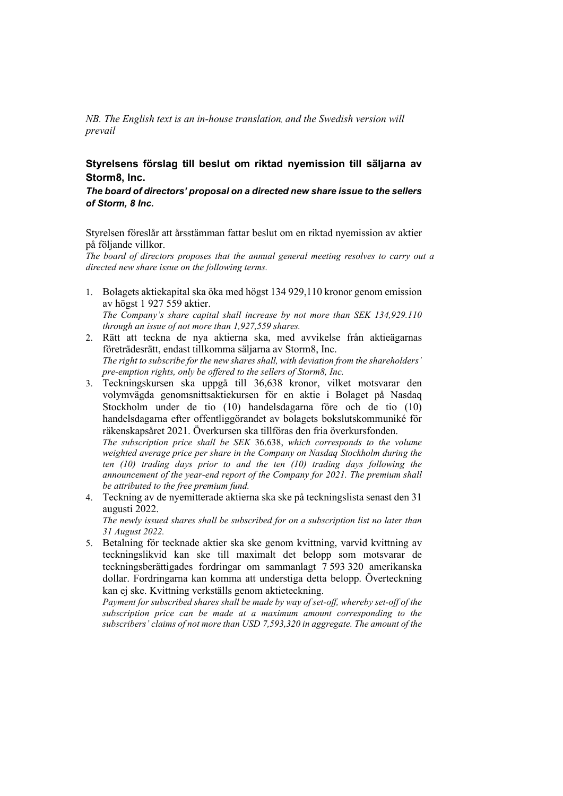*NB. The English text is an in-house translation, and the Swedish version will prevail*

## **Styrelsens förslag till beslut om riktad nyemission till säljarna av Storm8, Inc.**

## *The board of directors' proposal on a directed new share issue to the sellers of Storm, 8 Inc.*

Styrelsen föreslår att årsstämman fattar beslut om en riktad nyemission av aktier på följande villkor.

*The board of directors proposes that the annual general meeting resolves to carry out a directed new share issue on the following terms.* 

1. Bolagets aktiekapital ska öka med högst 134 929,110 kronor genom emission av högst 1 927 559 aktier. *The Company's share capital shall increase by not more than SEK 134,929.110*

*through an issue of not more than 1,927,559 shares.* 

- 2. Rätt att teckna de nya aktierna ska, med avvikelse från aktieägarnas företrädesrätt, endast tillkomma säljarna av Storm8, Inc. *The right to subscribe for the new shares shall, with deviation from the shareholders' pre-emption rights, only be offered to the sellers of Storm8, Inc.*
- 3. Teckningskursen ska uppgå till 36,638 kronor, vilket motsvarar den volymvägda genomsnittsaktiekursen för en aktie i Bolaget på Nasdaq Stockholm under de tio (10) handelsdagarna före och de tio (10) handelsdagarna efter offentliggörandet av bolagets bokslutskommuniké för räkenskapsåret 2021. Överkursen ska tillföras den fria överkursfonden. *The subscription price shall be SEK* 36.638, *which corresponds to the volume*

*weighted average price per share in the Company on Nasdaq Stockholm during the ten (10) trading days prior to and the ten (10) trading days following the announcement of the year-end report of the Company for 2021. The premium shall be attributed to the free premium fund.* 

4. Teckning av de nyemitterade aktierna ska ske på teckningslista senast den 31 augusti 2022.

*The newly issued shares shall be subscribed for on a subscription list no later than 31 August 2022.* 

5. Betalning för tecknade aktier ska ske genom kvittning, varvid kvittning av teckningslikvid kan ske till maximalt det belopp som motsvarar de teckningsberättigades fordringar om sammanlagt 7 593 320 amerikanska dollar. Fordringarna kan komma att understiga detta belopp. Överteckning kan ej ske. Kvittning verkställs genom aktieteckning.

*Payment for subscribed shares shall be made by way of set-off, whereby set-off of the subscription price can be made at a maximum amount corresponding to the subscribers' claims of not more than USD 7,593,320 in aggregate. The amount of the*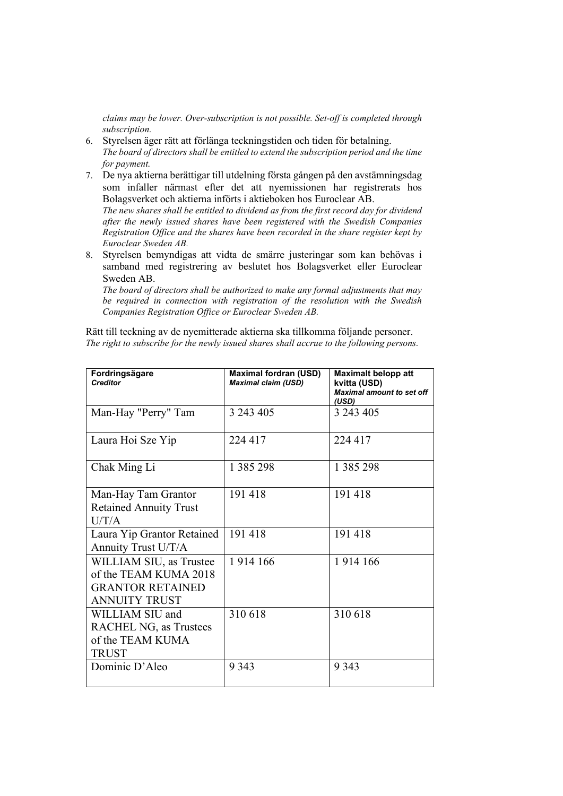*claims may be lower. Over-subscription is not possible. Set-off is completed through subscription.* 

- 6. Styrelsen äger rätt att förlänga teckningstiden och tiden för betalning. *The board of directors shall be entitled to extend the subscription period and the time for payment.*
- 7. De nya aktierna berättigar till utdelning första gången på den avstämningsdag som infaller närmast efter det att nyemissionen har registrerats hos Bolagsverket och aktierna införts i aktieboken hos Euroclear AB.

*The new shares shall be entitled to dividend as from the first record day for dividend after the newly issued shares have been registered with the Swedish Companies Registration Office and the shares have been recorded in the share register kept by Euroclear Sweden AB.* 

8. Styrelsen bemyndigas att vidta de smärre justeringar som kan behövas i samband med registrering av beslutet hos Bolagsverket eller Euroclear Sweden AB.

*The board of directors shall be authorized to make any formal adjustments that may be required in connection with registration of the resolution with the Swedish Companies Registration Office or Euroclear Sweden AB.* 

Rätt till teckning av de nyemitterade aktierna ska tillkomma följande personer. *The right to subscribe for the newly issued shares shall accrue to the following persons.* 

| Fordringsägare<br><b>Creditor</b>                                                                   | <b>Maximal fordran (USD)</b><br><b>Maximal claim (USD)</b> | <b>Maximalt belopp att</b><br>kvitta (USD)<br><b>Maximal amount to set off</b><br>(USD) |
|-----------------------------------------------------------------------------------------------------|------------------------------------------------------------|-----------------------------------------------------------------------------------------|
| Man-Hay "Perry" Tam                                                                                 | 3 243 405                                                  | 3 243 405                                                                               |
| Laura Hoi Sze Yip                                                                                   | 224 417                                                    | 224 417                                                                                 |
| Chak Ming Li                                                                                        | 1 3 8 5 2 9 8                                              | 1 3 8 5 2 9 8                                                                           |
| Man-Hay Tam Grantor<br><b>Retained Annuity Trust</b><br>U/T/A                                       | 191418                                                     | 191418                                                                                  |
| Laura Yip Grantor Retained<br>Annuity Trust U/T/A                                                   | 191418                                                     | 191418                                                                                  |
| WILLIAM SIU, as Trustee<br>of the TEAM KUMA 2018<br><b>GRANTOR RETAINED</b><br><b>ANNUITY TRUST</b> | 1914 166                                                   | 1914 166                                                                                |
| WILLIAM SIU and<br><b>RACHEL NG, as Trustees</b><br>of the TEAM KUMA<br><b>TRUST</b>                | 310 618                                                    | 310618                                                                                  |
| Dominic D'Aleo                                                                                      | 9 3 4 3                                                    | 9 3 4 3                                                                                 |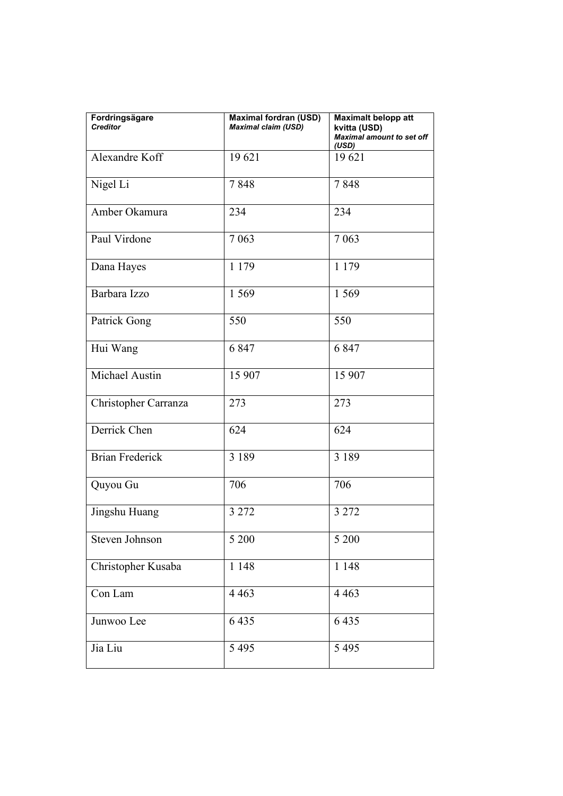| Fordringsägare<br><b>Creditor</b> | <b>Maximal fordran (USD)</b><br><b>Maximal claim (USD)</b> | <b>Maximalt belopp att</b><br>kvitta (USD)<br><b>Maximal amount to set off</b><br>(USD) |
|-----------------------------------|------------------------------------------------------------|-----------------------------------------------------------------------------------------|
| Alexandre Koff                    | 19621                                                      | 19621                                                                                   |
| Nigel Li                          | 7848                                                       | 7848                                                                                    |
| Amber Okamura                     | 234                                                        | 234                                                                                     |
| Paul Virdone                      | 7 0 6 3                                                    | 7 0 6 3                                                                                 |
| Dana Hayes                        | 1 1 7 9                                                    | 1 1 7 9                                                                                 |
| Barbara Izzo                      | 1 5 6 9                                                    | 1 5 6 9                                                                                 |
| Patrick Gong                      | 550                                                        | 550                                                                                     |
| Hui Wang                          | 6847                                                       | 6847                                                                                    |
| Michael Austin                    | 15 907                                                     | 15 907                                                                                  |
| Christopher Carranza              | 273                                                        | 273                                                                                     |
| Derrick Chen                      | 624                                                        | 624                                                                                     |
| <b>Brian Frederick</b>            | 3 1 8 9                                                    | 3 1 8 9                                                                                 |
| Quyou Gu                          | 706                                                        | 706                                                                                     |
| Jingshu Huang                     | 3 2 7 2                                                    | 3 2 7 2                                                                                 |
| Steven Johnson                    | 5 200                                                      | 5 200                                                                                   |
| Christopher Kusaba                | 1 1 4 8                                                    | 1 1 4 8                                                                                 |
| Con Lam                           | 4 4 6 3                                                    | 4 4 6 3                                                                                 |
| Junwoo Lee                        | 6435                                                       | 6435                                                                                    |
| Jia Liu                           | 5 4 9 5                                                    | 5 4 9 5                                                                                 |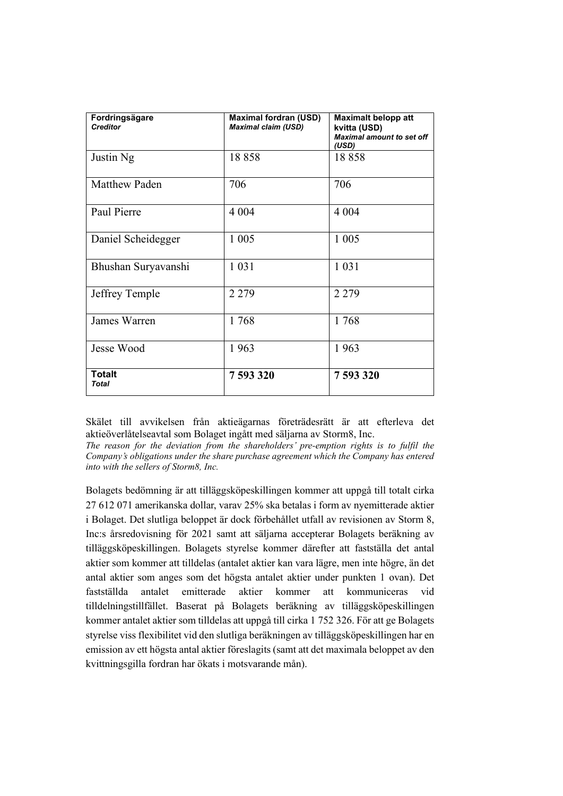| Fordringsägare<br><b>Creditor</b> | <b>Maximal fordran (USD)</b><br><b>Maximal claim (USD)</b> | <b>Maximalt belopp att</b><br>kvitta (USD)<br><b>Maximal amount to set off</b><br>(USD) |
|-----------------------------------|------------------------------------------------------------|-----------------------------------------------------------------------------------------|
| Justin Ng                         | 18858                                                      | 18858                                                                                   |
| <b>Matthew Paden</b>              | 706                                                        | 706                                                                                     |
| Paul Pierre                       | 4 0 0 4                                                    | 4 0 0 4                                                                                 |
| Daniel Scheidegger                | 1 0 0 5                                                    | 1 0 0 5                                                                                 |
| Bhushan Suryavanshi               | 1 0 3 1                                                    | 1 0 3 1                                                                                 |
| Jeffrey Temple                    | 2 2 7 9                                                    | 2 2 7 9                                                                                 |
| James Warren                      | 1768                                                       | 1768                                                                                    |
| Jesse Wood                        | 1963                                                       | 1963                                                                                    |
| <b>Totalt</b><br><b>Total</b>     | 7593320                                                    | 7593320                                                                                 |

Skälet till avvikelsen från aktieägarnas företrädesrätt är att efterleva det aktieöverlåtelseavtal som Bolaget ingått med säljarna av Storm8, Inc.

*The reason for the deviation from the shareholders' pre-emption rights is to fulfil the Company's obligations under the share purchase agreement which the Company has entered into with the sellers of Storm8, Inc.*

Bolagets bedömning är att tilläggsköpeskillingen kommer att uppgå till totalt cirka 27 612 071 amerikanska dollar, varav 25% ska betalas i form av nyemitterade aktier i Bolaget. Det slutliga beloppet är dock förbehållet utfall av revisionen av Storm 8, Inc:s årsredovisning för 2021 samt att säljarna accepterar Bolagets beräkning av tilläggsköpeskillingen. Bolagets styrelse kommer därefter att fastställa det antal aktier som kommer att tilldelas (antalet aktier kan vara lägre, men inte högre, än det antal aktier som anges som det högsta antalet aktier under punkten 1 ovan). Det fastställda antalet emitterade aktier kommer att kommuniceras vid tilldelningstillfället. Baserat på Bolagets beräkning av tilläggsköpeskillingen kommer antalet aktier som tilldelas att uppgå till cirka 1 752 326. För att ge Bolagets styrelse viss flexibilitet vid den slutliga beräkningen av tilläggsköpeskillingen har en emission av ett högsta antal aktier föreslagits (samt att det maximala beloppet av den kvittningsgilla fordran har ökats i motsvarande mån).